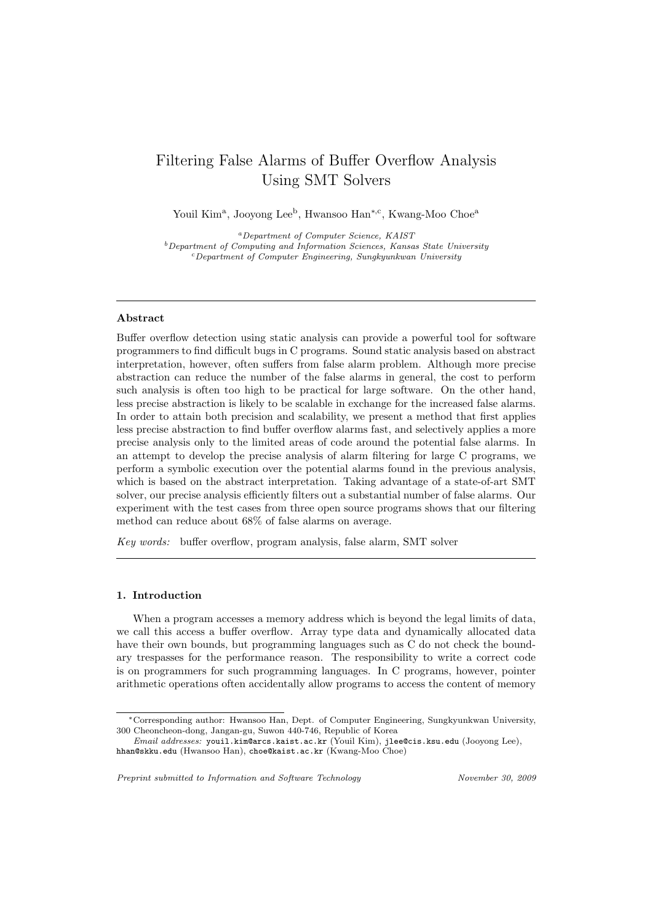# Filtering False Alarms of Buffer Overflow Analysis Using SMT Solvers

Youil Kim<sup>a</sup>, Jooyong Lee<sup>b</sup>, Hwansoo Han<sup>\*,c</sup>, Kwang-Moo Choe<sup>a</sup>

<sup>a</sup>Department of Computer Science, KAIST  $b$ Department of Computing and Information Sciences, Kansas State University <sup>c</sup>Department of Computer Engineering, Sungkyunkwan University

# Abstract

Buffer overflow detection using static analysis can provide a powerful tool for software programmers to find difficult bugs in C programs. Sound static analysis based on abstract interpretation, however, often suffers from false alarm problem. Although more precise abstraction can reduce the number of the false alarms in general, the cost to perform such analysis is often too high to be practical for large software. On the other hand, less precise abstraction is likely to be scalable in exchange for the increased false alarms. In order to attain both precision and scalability, we present a method that first applies less precise abstraction to find buffer overflow alarms fast, and selectively applies a more precise analysis only to the limited areas of code around the potential false alarms. In an attempt to develop the precise analysis of alarm filtering for large C programs, we perform a symbolic execution over the potential alarms found in the previous analysis, which is based on the abstract interpretation. Taking advantage of a state-of-art SMT solver, our precise analysis efficiently filters out a substantial number of false alarms. Our experiment with the test cases from three open source programs shows that our filtering method can reduce about 68% of false alarms on average.

Key words: buffer overflow, program analysis, false alarm, SMT solver

#### 1. Introduction

When a program accesses a memory address which is beyond the legal limits of data, we call this access a buffer overflow. Array type data and dynamically allocated data have their own bounds, but programming languages such as C do not check the boundary trespasses for the performance reason. The responsibility to write a correct code is on programmers for such programming languages. In C programs, however, pointer arithmetic operations often accidentally allow programs to access the content of memory

Preprint submitted to Information and Software Technology November 30, 2009

<sup>∗</sup>Corresponding author: Hwansoo Han, Dept. of Computer Engineering, Sungkyunkwan University, 300 Cheoncheon-dong, Jangan-gu, Suwon 440-746, Republic of Korea

Email addresses: youil.kim@arcs.kaist.ac.kr (Youil Kim), jlee@cis.ksu.edu (Jooyong Lee), hhan@skku.edu (Hwansoo Han), choe@kaist.ac.kr (Kwang-Moo Choe)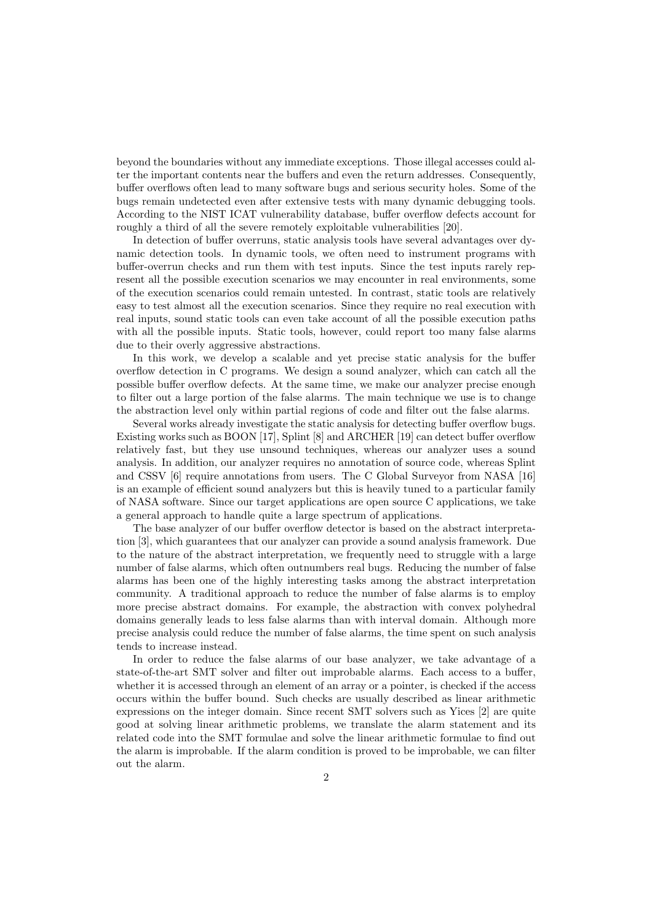beyond the boundaries without any immediate exceptions. Those illegal accesses could alter the important contents near the buffers and even the return addresses. Consequently, buffer overflows often lead to many software bugs and serious security holes. Some of the bugs remain undetected even after extensive tests with many dynamic debugging tools. According to the NIST ICAT vulnerability database, buffer overflow defects account for roughly a third of all the severe remotely exploitable vulnerabilities [20].

In detection of buffer overruns, static analysis tools have several advantages over dynamic detection tools. In dynamic tools, we often need to instrument programs with buffer-overrun checks and run them with test inputs. Since the test inputs rarely represent all the possible execution scenarios we may encounter in real environments, some of the execution scenarios could remain untested. In contrast, static tools are relatively easy to test almost all the execution scenarios. Since they require no real execution with real inputs, sound static tools can even take account of all the possible execution paths with all the possible inputs. Static tools, however, could report too many false alarms due to their overly aggressive abstractions.

In this work, we develop a scalable and yet precise static analysis for the buffer overflow detection in C programs. We design a sound analyzer, which can catch all the possible buffer overflow defects. At the same time, we make our analyzer precise enough to filter out a large portion of the false alarms. The main technique we use is to change the abstraction level only within partial regions of code and filter out the false alarms.

Several works already investigate the static analysis for detecting buffer overflow bugs. Existing works such as BOON [17], Splint [8] and ARCHER [19] can detect buffer overflow relatively fast, but they use unsound techniques, whereas our analyzer uses a sound analysis. In addition, our analyzer requires no annotation of source code, whereas Splint and CSSV [6] require annotations from users. The C Global Surveyor from NASA [16] is an example of efficient sound analyzers but this is heavily tuned to a particular family of NASA software. Since our target applications are open source C applications, we take a general approach to handle quite a large spectrum of applications.

The base analyzer of our buffer overflow detector is based on the abstract interpretation [3], which guarantees that our analyzer can provide a sound analysis framework. Due to the nature of the abstract interpretation, we frequently need to struggle with a large number of false alarms, which often outnumbers real bugs. Reducing the number of false alarms has been one of the highly interesting tasks among the abstract interpretation community. A traditional approach to reduce the number of false alarms is to employ more precise abstract domains. For example, the abstraction with convex polyhedral domains generally leads to less false alarms than with interval domain. Although more precise analysis could reduce the number of false alarms, the time spent on such analysis tends to increase instead.

In order to reduce the false alarms of our base analyzer, we take advantage of a state-of-the-art SMT solver and filter out improbable alarms. Each access to a buffer, whether it is accessed through an element of an array or a pointer, is checked if the access occurs within the buffer bound. Such checks are usually described as linear arithmetic expressions on the integer domain. Since recent SMT solvers such as Yices [2] are quite good at solving linear arithmetic problems, we translate the alarm statement and its related code into the SMT formulae and solve the linear arithmetic formulae to find out the alarm is improbable. If the alarm condition is proved to be improbable, we can filter out the alarm.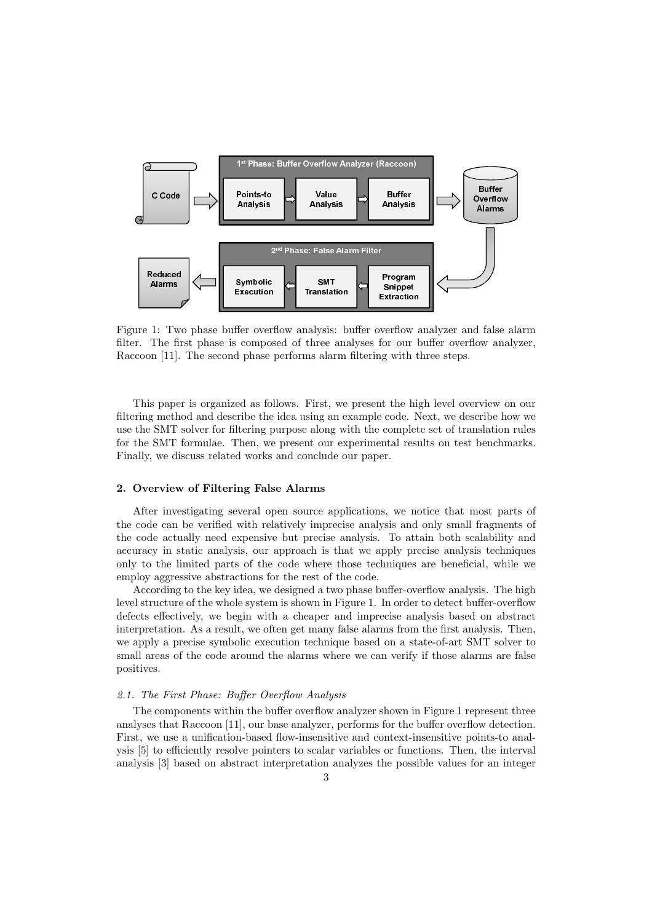

Figure 1: Two phase buffer overflow analysis: buffer overflow analyzer and false alarm filter. The first phase is composed of three analyses for our buffer overflow analyzer, Raccoon [11]. The second phase performs alarm filtering with three steps.

This paper is organized as follows. First, we present the high level overview on our filtering method and describe the idea using an example code. Next, we describe how we use the SMT solver for filtering purpose along with the complete set of translation rules for the SMT formulae. Then, we present our experimental results on test benchmarks. Finally, we discuss related works and conclude our paper.

#### 2. Overview of Filtering False Alarms

After investigating several open source applications, we notice that most parts of the code can be verified with relatively imprecise analysis and only small fragments of the code actually need expensive but precise analysis. To attain both scalability and accuracy in static analysis, our approach is that we apply precise analysis techniques only to the limited parts of the code where those techniques are beneficial, while we employ aggressive abstractions for the rest of the code.

According to the key idea, we designed a two phase buffer-overflow analysis. The high level structure of the whole system is shown in Figure 1. In order to detect buffer-overflow defects effectively, we begin with a cheaper and imprecise analysis based on abstract interpretation. As a result, we often get many false alarms from the first analysis. Then, we apply a precise symbolic execution technique based on a state-of-art SMT solver to small areas of the code around the alarms where we can verify if those alarms are false positives.

## 2.1. The First Phase: Buffer Overflow Analysis

The components within the buffer overflow analyzer shown in Figure 1 represent three analyses that Raccoon [11], our base analyzer, performs for the buffer overflow detection. First, we use a unification-based flow-insensitive and context-insensitive points-to analysis [5] to efficiently resolve pointers to scalar variables or functions. Then, the interval analysis [3] based on abstract interpretation analyzes the possible values for an integer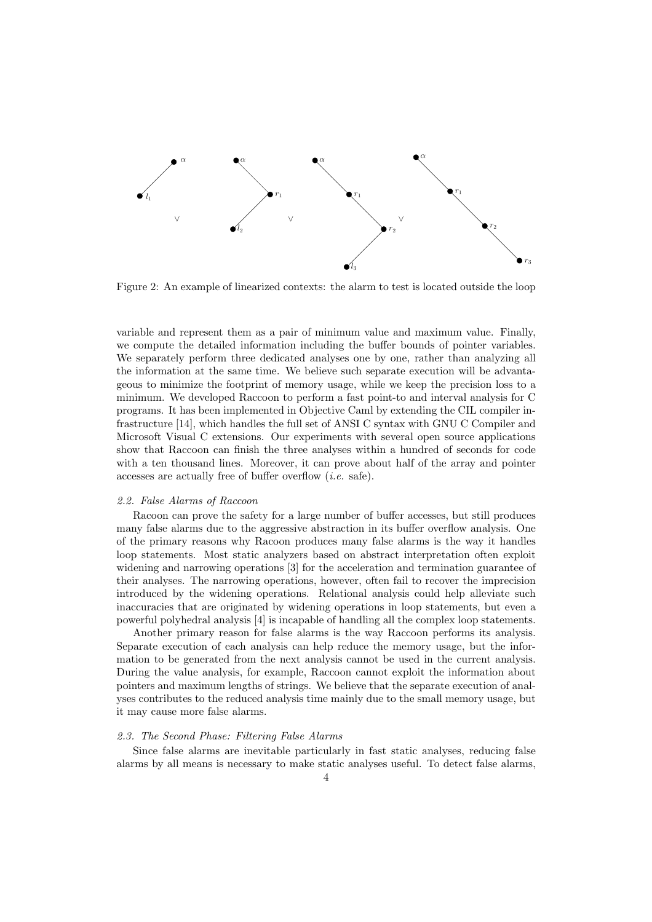

Figure 2: An example of linearized contexts: the alarm to test is located outside the loop

variable and represent them as a pair of minimum value and maximum value. Finally, we compute the detailed information including the buffer bounds of pointer variables. We separately perform three dedicated analyses one by one, rather than analyzing all the information at the same time. We believe such separate execution will be advantageous to minimize the footprint of memory usage, while we keep the precision loss to a minimum. We developed Raccoon to perform a fast point-to and interval analysis for C programs. It has been implemented in Objective Caml by extending the CIL compiler infrastructure [14], which handles the full set of ANSI C syntax with GNU C Compiler and Microsoft Visual C extensions. Our experiments with several open source applications show that Raccoon can finish the three analyses within a hundred of seconds for code with a ten thousand lines. Moreover, it can prove about half of the array and pointer accesses are actually free of buffer overflow (i.e. safe).

## 2.2. False Alarms of Raccoon

Racoon can prove the safety for a large number of buffer accesses, but still produces many false alarms due to the aggressive abstraction in its buffer overflow analysis. One of the primary reasons why Racoon produces many false alarms is the way it handles loop statements. Most static analyzers based on abstract interpretation often exploit widening and narrowing operations [3] for the acceleration and termination guarantee of their analyses. The narrowing operations, however, often fail to recover the imprecision introduced by the widening operations. Relational analysis could help alleviate such inaccuracies that are originated by widening operations in loop statements, but even a powerful polyhedral analysis [4] is incapable of handling all the complex loop statements.

Another primary reason for false alarms is the way Raccoon performs its analysis. Separate execution of each analysis can help reduce the memory usage, but the information to be generated from the next analysis cannot be used in the current analysis. During the value analysis, for example, Raccoon cannot exploit the information about pointers and maximum lengths of strings. We believe that the separate execution of analyses contributes to the reduced analysis time mainly due to the small memory usage, but it may cause more false alarms.

### 2.3. The Second Phase: Filtering False Alarms

Since false alarms are inevitable particularly in fast static analyses, reducing false alarms by all means is necessary to make static analyses useful. To detect false alarms,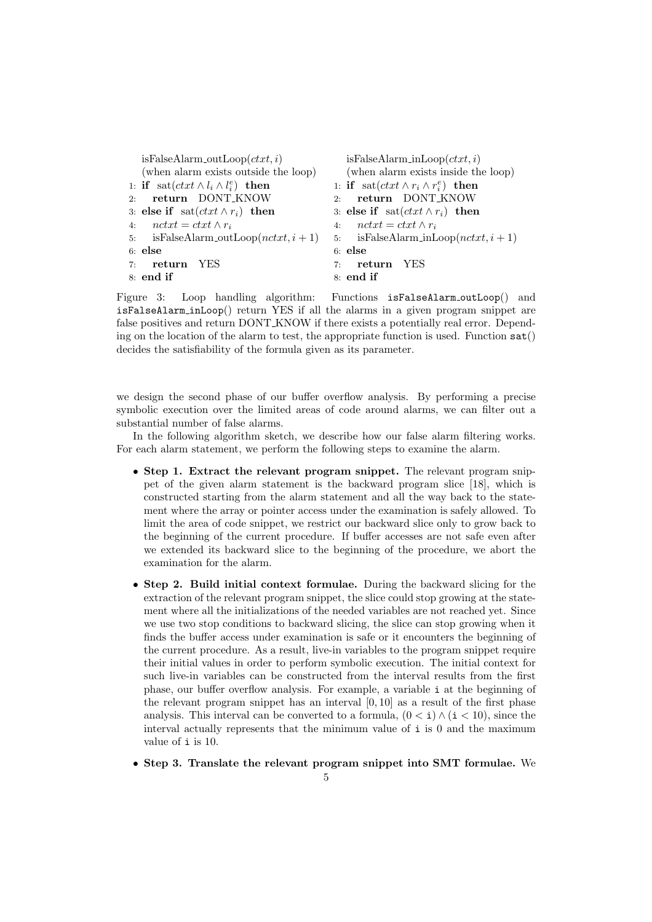| isFalseAlarm_outLoop $(ctxt, i)$                              | isFalseAlarm_inLoop $(ctxt, i)$                               |  |  |
|---------------------------------------------------------------|---------------------------------------------------------------|--|--|
| (when alarm exists outside the loop)                          | (when alarm exists inside the loop)                           |  |  |
| 1: if $\operatorname{sat}(ctxt \wedge l_i \wedge l_i^e)$ then | 1: if $\operatorname{sat}(ctxt \wedge r_i \wedge r_i^e)$ then |  |  |
| 2: return DONT_KNOW                                           | 2: return DONT_KNOW                                           |  |  |
| 3: else if $\operatorname{sat}(ctxt \wedge r_i)$ then         | 3: else if $\operatorname{sat}(ctxt \wedge r_i)$ then         |  |  |
| 4. $nctxt = ctxt \wedge r_i$                                  | 4. $nctxt = ctxt \wedge r_i$                                  |  |  |
| 5: isFalseAlarm_outLoop( $\textit{nctxt}, i+1$ )              | 5: isFalseAlarm_inLoop( $\textit{nctxt}, i+1$ )               |  |  |
| 6: else                                                       | $6:$ else                                                     |  |  |
| 7: return YES                                                 | 7: return YES                                                 |  |  |
| $8:$ end if                                                   | $8:$ end if                                                   |  |  |

Figure 3: Loop handling algorithm: Functions isFalseAlarm outLoop() and isFalseAlarm inLoop() return YES if all the alarms in a given program snippet are false positives and return DONT KNOW if there exists a potentially real error. Depending on the location of the alarm to test, the appropriate function is used. Function  $sat()$ decides the satisfiability of the formula given as its parameter.

we design the second phase of our buffer overflow analysis. By performing a precise symbolic execution over the limited areas of code around alarms, we can filter out a substantial number of false alarms.

In the following algorithm sketch, we describe how our false alarm filtering works. For each alarm statement, we perform the following steps to examine the alarm.

- Step 1. Extract the relevant program snippet. The relevant program snippet of the given alarm statement is the backward program slice [18], which is constructed starting from the alarm statement and all the way back to the statement where the array or pointer access under the examination is safely allowed. To limit the area of code snippet, we restrict our backward slice only to grow back to the beginning of the current procedure. If buffer accesses are not safe even after we extended its backward slice to the beginning of the procedure, we abort the examination for the alarm.
- Step 2. Build initial context formulae. During the backward slicing for the extraction of the relevant program snippet, the slice could stop growing at the statement where all the initializations of the needed variables are not reached yet. Since we use two stop conditions to backward slicing, the slice can stop growing when it finds the buffer access under examination is safe or it encounters the beginning of the current procedure. As a result, live-in variables to the program snippet require their initial values in order to perform symbolic execution. The initial context for such live-in variables can be constructed from the interval results from the first phase, our buffer overflow analysis. For example, a variable i at the beginning of the relevant program snippet has an interval  $[0, 10]$  as a result of the first phase analysis. This interval can be converted to a formula,  $(0 \lt i) \wedge (i \lt 10)$ , since the interval actually represents that the minimum value of i is 0 and the maximum value of i is 10.
- Step 3. Translate the relevant program snippet into SMT formulae. We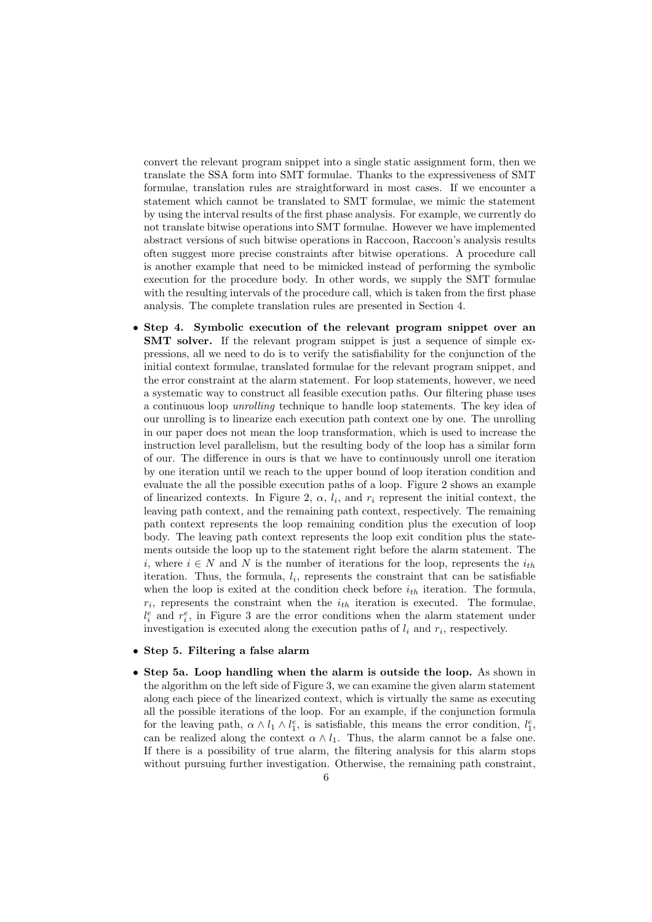convert the relevant program snippet into a single static assignment form, then we translate the SSA form into SMT formulae. Thanks to the expressiveness of SMT formulae, translation rules are straightforward in most cases. If we encounter a statement which cannot be translated to SMT formulae, we mimic the statement by using the interval results of the first phase analysis. For example, we currently do not translate bitwise operations into SMT formulae. However we have implemented abstract versions of such bitwise operations in Raccoon, Raccoon's analysis results often suggest more precise constraints after bitwise operations. A procedure call is another example that need to be mimicked instead of performing the symbolic execution for the procedure body. In other words, we supply the SMT formulae with the resulting intervals of the procedure call, which is taken from the first phase analysis. The complete translation rules are presented in Section 4.

• Step 4. Symbolic execution of the relevant program snippet over an SMT solver. If the relevant program snippet is just a sequence of simple expressions, all we need to do is to verify the satisfiability for the conjunction of the initial context formulae, translated formulae for the relevant program snippet, and the error constraint at the alarm statement. For loop statements, however, we need a systematic way to construct all feasible execution paths. Our filtering phase uses a continuous loop unrolling technique to handle loop statements. The key idea of our unrolling is to linearize each execution path context one by one. The unrolling in our paper does not mean the loop transformation, which is used to increase the instruction level parallelism, but the resulting body of the loop has a similar form of our. The difference in ours is that we have to continuously unroll one iteration by one iteration until we reach to the upper bound of loop iteration condition and evaluate the all the possible execution paths of a loop. Figure 2 shows an example of linearized contexts. In Figure 2,  $\alpha$ ,  $l_i$ , and  $r_i$  represent the initial context, the leaving path context, and the remaining path context, respectively. The remaining path context represents the loop remaining condition plus the execution of loop body. The leaving path context represents the loop exit condition plus the statements outside the loop up to the statement right before the alarm statement. The i, where  $i \in N$  and N is the number of iterations for the loop, represents the  $i_{th}$ iteration. Thus, the formula,  $l_i$ , represents the constraint that can be satisfiable when the loop is exited at the condition check before  $i_{th}$  iteration. The formula,  $r_i$ , represents the constraint when the  $i_{th}$  iteration is executed. The formulae,  $l_i^e$  and  $r_i^e$ , in Figure 3 are the error conditions when the alarm statement under investigation is executed along the execution paths of  $l_i$  and  $r_i$ , respectively.

# • Step 5. Filtering a false alarm

• Step 5a. Loop handling when the alarm is outside the loop. As shown in the algorithm on the left side of Figure 3, we can examine the given alarm statement along each piece of the linearized context, which is virtually the same as executing all the possible iterations of the loop. For an example, if the conjunction formula for the leaving path,  $\alpha \wedge l_1 \wedge l_1^e$ , is satisfiable, this means the error condition,  $l_1^e$ , can be realized along the context  $\alpha \wedge l_1$ . Thus, the alarm cannot be a false one. If there is a possibility of true alarm, the filtering analysis for this alarm stops without pursuing further investigation. Otherwise, the remaining path constraint,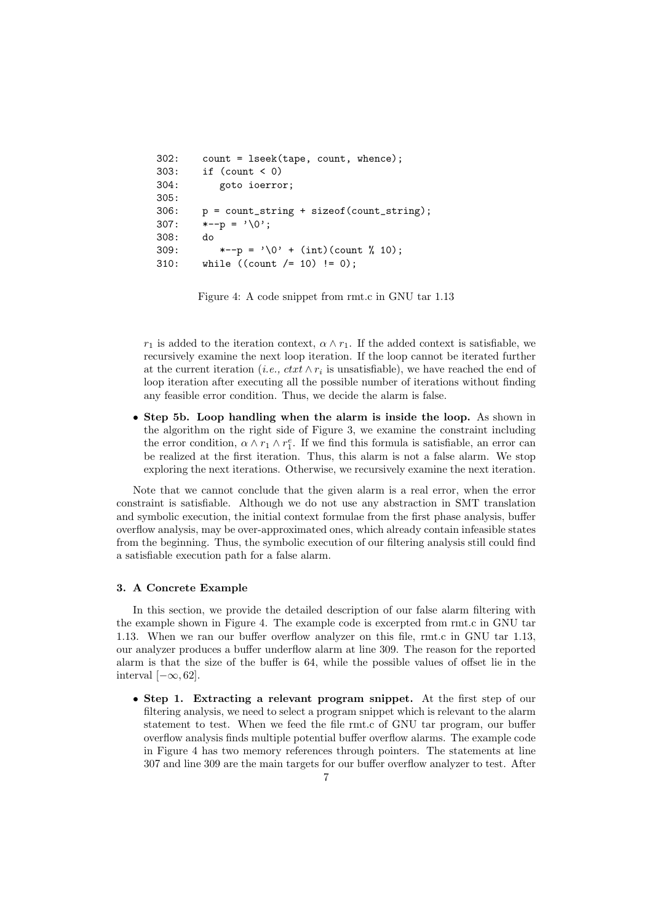```
302: count = lseek(tape, count, whence);
303: if (count < 0)
304: goto ioerror;
305:
306: p = count_string + sizeof(count_string);
307: *--p = '0';308: do
309: *-p = \sqrt{0'} + (int)(count \n (10);
310: while ((count /= 10) != 0);
```
Figure 4: A code snippet from rmt.c in GNU tar 1.13

 $r_1$  is added to the iteration context,  $\alpha \wedge r_1$ . If the added context is satisfiable, we recursively examine the next loop iteration. If the loop cannot be iterated further at the current iteration (*i.e.*,  $ctxt \wedge r_i$  is unsatisfiable), we have reached the end of loop iteration after executing all the possible number of iterations without finding any feasible error condition. Thus, we decide the alarm is false.

• Step 5b. Loop handling when the alarm is inside the loop. As shown in the algorithm on the right side of Figure 3, we examine the constraint including the error condition,  $\alpha \wedge r_1 \wedge r_1^e$ . If we find this formula is satisfiable, an error can be realized at the first iteration. Thus, this alarm is not a false alarm. We stop exploring the next iterations. Otherwise, we recursively examine the next iteration.

Note that we cannot conclude that the given alarm is a real error, when the error constraint is satisfiable. Although we do not use any abstraction in SMT translation and symbolic execution, the initial context formulae from the first phase analysis, buffer overflow analysis, may be over-approximated ones, which already contain infeasible states from the beginning. Thus, the symbolic execution of our filtering analysis still could find a satisfiable execution path for a false alarm.

## 3. A Concrete Example

In this section, we provide the detailed description of our false alarm filtering with the example shown in Figure 4. The example code is excerpted from rmt.c in GNU tar 1.13. When we ran our buffer overflow analyzer on this file, rmt.c in GNU tar 1.13, our analyzer produces a buffer underflow alarm at line 309. The reason for the reported alarm is that the size of the buffer is 64, while the possible values of offset lie in the interval  $[-\infty, 62]$ .

• Step 1. Extracting a relevant program snippet. At the first step of our filtering analysis, we need to select a program snippet which is relevant to the alarm statement to test. When we feed the file rmt.c of GNU tar program, our buffer overflow analysis finds multiple potential buffer overflow alarms. The example code in Figure 4 has two memory references through pointers. The statements at line 307 and line 309 are the main targets for our buffer overflow analyzer to test. After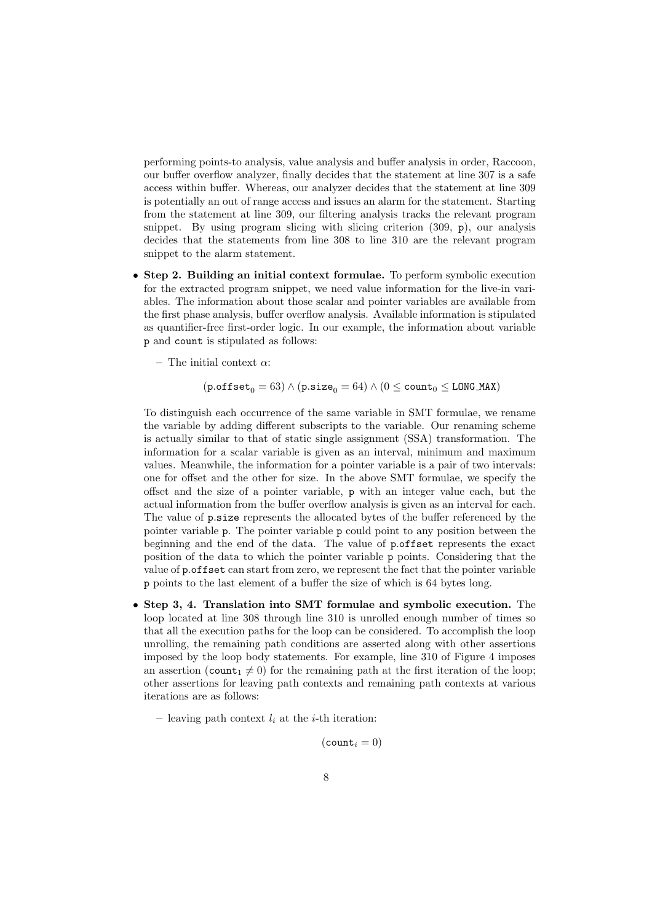performing points-to analysis, value analysis and buffer analysis in order, Raccoon, our buffer overflow analyzer, finally decides that the statement at line 307 is a safe access within buffer. Whereas, our analyzer decides that the statement at line 309 is potentially an out of range access and issues an alarm for the statement. Starting from the statement at line 309, our filtering analysis tracks the relevant program snippet. By using program slicing with slicing criterion  $(309, p)$ , our analysis decides that the statements from line 308 to line 310 are the relevant program snippet to the alarm statement.

- Step 2. Building an initial context formulae. To perform symbolic execution for the extracted program snippet, we need value information for the live-in variables. The information about those scalar and pointer variables are available from the first phase analysis, buffer overflow analysis. Available information is stipulated as quantifier-free first-order logic. In our example, the information about variable p and count is stipulated as follows:
	- The initial context  $\alpha$ :

 $(p.\texttt{offset}_0 = 63) \wedge (p.\texttt{size}_0 = 64) \wedge (0 \le \texttt{count}_0 \le \texttt{LONG\_MAX})$ 

To distinguish each occurrence of the same variable in SMT formulae, we rename the variable by adding different subscripts to the variable. Our renaming scheme is actually similar to that of static single assignment (SSA) transformation. The information for a scalar variable is given as an interval, minimum and maximum values. Meanwhile, the information for a pointer variable is a pair of two intervals: one for offset and the other for size. In the above SMT formulae, we specify the offset and the size of a pointer variable, p with an integer value each, but the actual information from the buffer overflow analysis is given as an interval for each. The value of p.size represents the allocated bytes of the buffer referenced by the pointer variable p. The pointer variable p could point to any position between the beginning and the end of the data. The value of p.offset represents the exact position of the data to which the pointer variable p points. Considering that the value of p.offset can start from zero, we represent the fact that the pointer variable p points to the last element of a buffer the size of which is 64 bytes long.

- Step 3, 4. Translation into SMT formulae and symbolic execution. The loop located at line 308 through line 310 is unrolled enough number of times so that all the execution paths for the loop can be considered. To accomplish the loop unrolling, the remaining path conditions are asserted along with other assertions imposed by the loop body statements. For example, line 310 of Figure 4 imposes an assertion (count<sub>1</sub>  $\neq$  0) for the remaining path at the first iteration of the loop; other assertions for leaving path contexts and remaining path contexts at various iterations are as follows:
	- leaving path context  $l_i$  at the *i*-th iteration:

$$
(\mathtt{count}_i = 0)
$$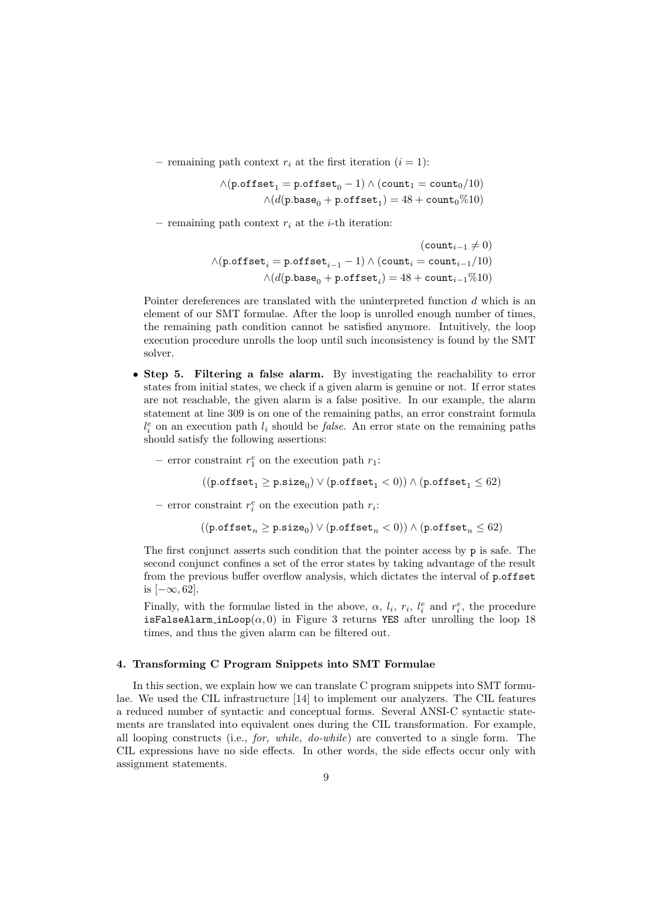– remaining path context  $r_i$  at the first iteration  $(i = 1)$ :

$$
\begin{aligned} \wedge (\text{p.offset}_1 = \text{p.offset}_0 - 1) \wedge (\text{count}_1 = \text{count}_0/10) \\ \wedge (d(\text{p.base}_0 + \text{p.offset}_1) = 48 + \text{count}_0\%10) \end{aligned}
$$

– remaining path context  $r_i$  at the *i*-th iteration:

$$
\begin{aligned}(\text{count}_{i-1}\neq 0)\\ \wedge (\text{p.offset}_i=\text{p.offset}_{i-1}-1)\wedge (\text{count}_i=\text{count}_{i-1}/10)\\ \wedge (d(\text{p.base}_0+\text{p.offset}_i)=48+\text{count}_{i-1}\%10)\end{aligned}
$$

Pointer dereferences are translated with the uninterpreted function  $d$  which is an element of our SMT formulae. After the loop is unrolled enough number of times, the remaining path condition cannot be satisfied anymore. Intuitively, the loop execution procedure unrolls the loop until such inconsistency is found by the SMT solver.

• Step 5. Filtering a false alarm. By investigating the reachability to error states from initial states, we check if a given alarm is genuine or not. If error states are not reachable, the given alarm is a false positive. In our example, the alarm statement at line 309 is on one of the remaining paths, an error constraint formula  $l_i^e$  on an execution path  $l_i$  should be *false*. An error state on the remaining paths should satisfy the following assertions:

– error constraint  $r_1^e$  on the execution path  $r_1$ :

 $\left(\left(\text{p.offset}_1 \geq \text{p.size}_0\right) \vee \left(\text{p.offset}_1 < 0\right)\right) \wedge \left(\text{p.offset}_1 \leq 62\right)$ 

– error constraint  $r_i^e$  on the execution path  $r_i$ :

 $\left(\left(\text{p.offset}_n \geq \text{p.size}_0\right) \vee \left(\text{p.offset}_n < 0\right)\right) \wedge \left(\text{p.offset}_n \leq 62\right)$ 

The first conjunct asserts such condition that the pointer access by p is safe. The second conjunct confines a set of the error states by taking advantage of the result from the previous buffer overflow analysis, which dictates the interval of p.offset is  $[-\infty, 62]$ .

Finally, with the formulae listed in the above,  $\alpha$ ,  $l_i$ ,  $r_i$ ,  $l_i^e$  and  $r_i^e$ , the procedure isFalseAlarm\_inLoop( $\alpha$ , 0) in Figure 3 returns YES after unrolling the loop 18 times, and thus the given alarm can be filtered out.

# 4. Transforming C Program Snippets into SMT Formulae

In this section, we explain how we can translate C program snippets into SMT formulae. We used the CIL infrastructure [14] to implement our analyzers. The CIL features a reduced number of syntactic and conceptual forms. Several ANSI-C syntactic statements are translated into equivalent ones during the CIL transformation. For example, all looping constructs (i.e., for, while, do-while) are converted to a single form. The CIL expressions have no side effects. In other words, the side effects occur only with assignment statements.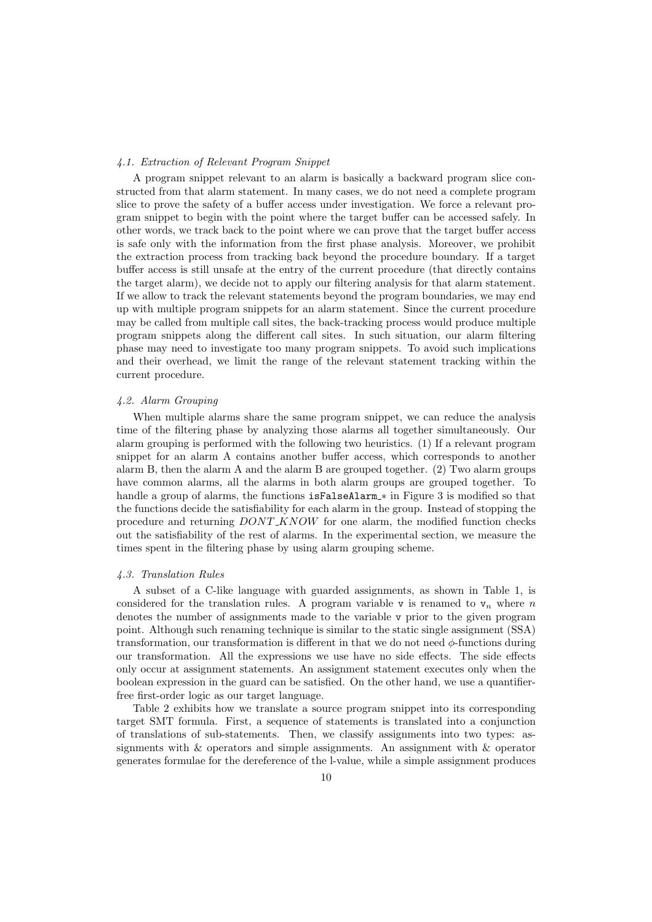#### 4.1. Extraction of Relevant Program Snippet

A program snippet relevant to an alarm is basically a backward program slice constructed from that alarm statement. In many cases, we do not need a complete program slice to prove the safety of a buffer access under investigation. We force a relevant program snippet to begin with the point where the target buffer can be accessed safely. In other words, we track back to the point where we can prove that the target buffer access is safe only with the information from the first phase analysis. Moreover, we prohibit the extraction process from tracking back beyond the procedure boundary. If a target buffer access is still unsafe at the entry of the current procedure (that directly contains the target alarm), we decide not to apply our filtering analysis for that alarm statement. If we allow to track the relevant statements beyond the program boundaries, we may end up with multiple program snippets for an alarm statement. Since the current procedure may be called from multiple call sites, the back-tracking process would produce multiple program snippets along the different call sites. In such situation, our alarm filtering phase may need to investigate too many program snippets. To avoid such implications and their overhead, we limit the range of the relevant statement tracking within the current procedure.

# 4.2. Alarm Grouping

When multiple alarms share the same program snippet, we can reduce the analysis time of the filtering phase by analyzing those alarms all together simultaneously. Our alarm grouping is performed with the following two heuristics. (1) If a relevant program snippet for an alarm A contains another buffer access, which corresponds to another alarm B, then the alarm A and the alarm B are grouped together. (2) Two alarm groups have common alarms, all the alarms in both alarm groups are grouped together. To handle a group of alarms, the functions isFalseAlarm\_\* in Figure 3 is modified so that the functions decide the satisfiability for each alarm in the group. Instead of stopping the procedure and returning DONT KNOW for one alarm, the modified function checks out the satisfiability of the rest of alarms. In the experimental section, we measure the times spent in the filtering phase by using alarm grouping scheme.

#### 4.3. Translation Rules

A subset of a C-like language with guarded assignments, as shown in Table 1, is considered for the translation rules. A program variable v is renamed to  $v_n$  where n denotes the number of assignments made to the variable v prior to the given program point. Although such renaming technique is similar to the static single assignment (SSA) transformation, our transformation is different in that we do not need  $\phi$ -functions during our transformation. All the expressions we use have no side effects. The side effects only occur at assignment statements. An assignment statement executes only when the boolean expression in the guard can be satisfied. On the other hand, we use a quantifierfree first-order logic as our target language.

Table 2 exhibits how we translate a source program snippet into its corresponding target SMT formula. First, a sequence of statements is translated into a conjunction of translations of sub-statements. Then, we classify assignments into two types: assignments with & operators and simple assignments. An assignment with & operator generates formulae for the dereference of the l-value, while a simple assignment produces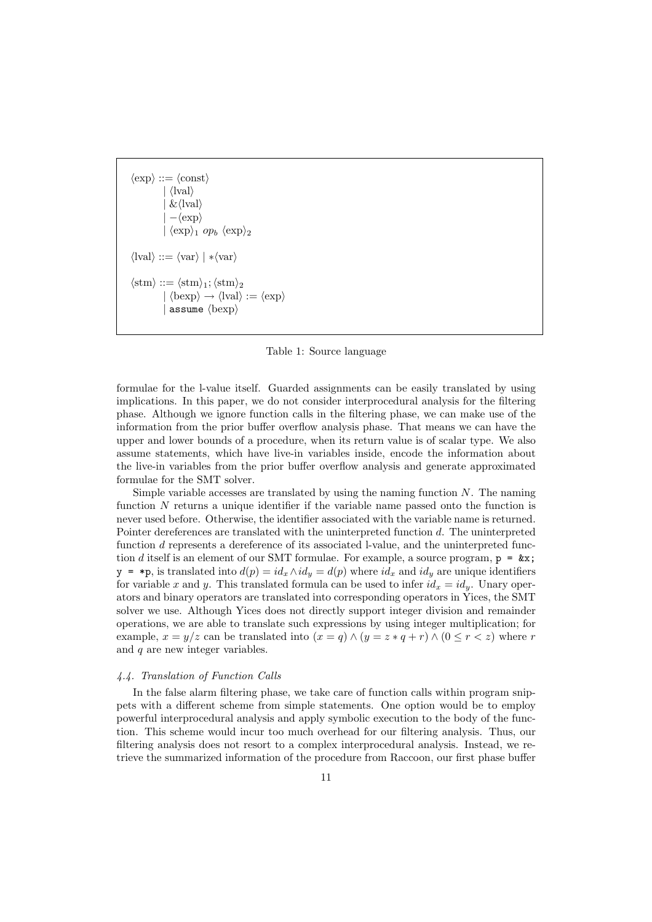$\langle \text{exp} \rangle ::= \langle \text{const} \rangle$  $\langle$ lval $\rangle$  $&$ (lval)  $-\langle \exp \rangle$  $\langle \exp \rangle_1$  op<sub>b</sub>  $\langle \exp \rangle_2$  $\langle \text{lval} \rangle ::= \langle \text{var} \rangle | * \langle \text{var} \rangle$  $\langle \text{stm} \rangle ::= \langle \text{stm} \rangle_1; \langle \text{stm} \rangle_2$  $\langle \text{bexp} \rangle \rightarrow \langle \text{lval} \rangle := \langle \text{exp} \rangle$ assume  $\langle$ bexp $\rangle$ 

#### Table 1: Source language

formulae for the l-value itself. Guarded assignments can be easily translated by using implications. In this paper, we do not consider interprocedural analysis for the filtering phase. Although we ignore function calls in the filtering phase, we can make use of the information from the prior buffer overflow analysis phase. That means we can have the upper and lower bounds of a procedure, when its return value is of scalar type. We also assume statements, which have live-in variables inside, encode the information about the live-in variables from the prior buffer overflow analysis and generate approximated formulae for the SMT solver.

Simple variable accesses are translated by using the naming function  $N$ . The naming function N returns a unique identifier if the variable name passed onto the function is never used before. Otherwise, the identifier associated with the variable name is returned. Pointer dereferences are translated with the uninterpreted function d. The uninterpreted function d represents a dereference of its associated l-value, and the uninterpreted function d itself is an element of our SMT formulae. For example, a source program,  $p = kx$ ; y = \*p, is translated into  $d(p) = id_x \wedge id_y = d(p)$  where  $id_x$  and  $id_y$  are unique identifiers for variable x and y. This translated formula can be used to infer  $id_x = id_y$ . Unary operators and binary operators are translated into corresponding operators in Yices, the SMT solver we use. Although Yices does not directly support integer division and remainder operations, we are able to translate such expressions by using integer multiplication; for example,  $x = y/z$  can be translated into  $(x = q) \wedge (y = z * q + r) \wedge (0 \le r < z)$  where r and  $q$  are new integer variables.

# 4.4. Translation of Function Calls

In the false alarm filtering phase, we take care of function calls within program snippets with a different scheme from simple statements. One option would be to employ powerful interprocedural analysis and apply symbolic execution to the body of the function. This scheme would incur too much overhead for our filtering analysis. Thus, our filtering analysis does not resort to a complex interprocedural analysis. Instead, we retrieve the summarized information of the procedure from Raccoon, our first phase buffer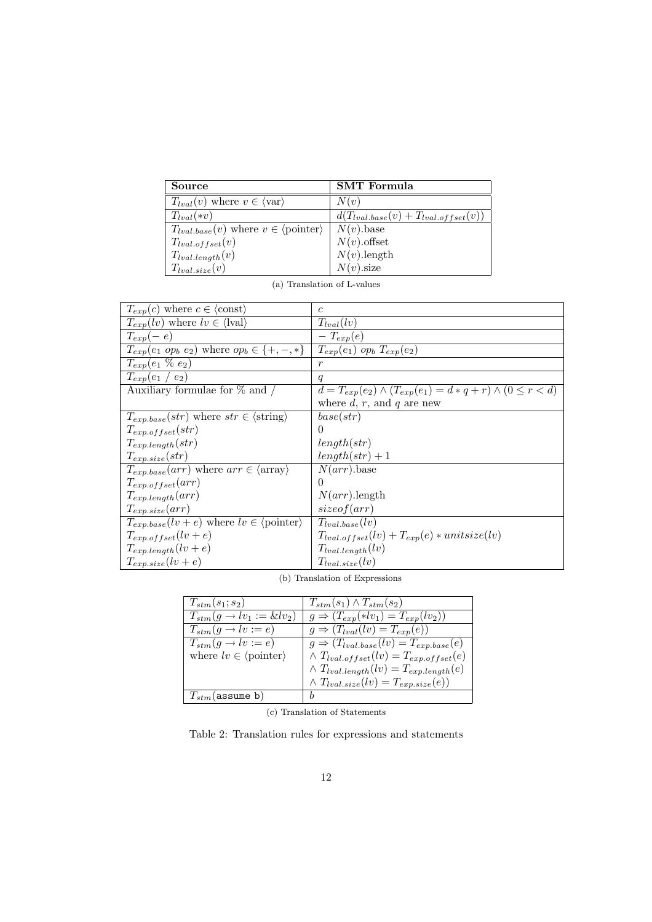| Source                                                          | <b>SMT</b> Formula                         |
|-----------------------------------------------------------------|--------------------------------------------|
| $T_{lval}(v)$ where $v \in \langle \text{var} \rangle$          | N(v)                                       |
| $T_{lval}(*v)$                                                  | $d(T_{lval,base}(v) + T_{lval.offset}(v))$ |
| $T_{lval,base}(v)$ where $v \in \langle \text{pointer} \rangle$ | $N(v)$ base                                |
| $T_{lval.offset}(v)$                                            | $N(v)$ .offset                             |
| $T_{lval.length}(v)$                                            | $N(v)$ .length                             |
| $T_{lval.size}(v)$                                              | $N(v)$ size                                |

| $T_{exp}(c)$ where $c \in \langle \text{const} \rangle$              | $\mathfrak{c}$                                                             |
|----------------------------------------------------------------------|----------------------------------------------------------------------------|
| $T_{exp}(lv)$ where $lv \in \langle \text{lval} \rangle$             | $T_{lval}(lv)$                                                             |
| $T_{exp}(-e)$                                                        | $-T_{exp}(e)$                                                              |
| $T_{exp}(e_1 \text{ op}_b e_2)$ where $op_b \in \{+, -, *\}$         | $T_{exp}(e_1)$ op <sub>b</sub> $T_{exp}(e_2)$                              |
| $T_{exp}(e_1 \; \% \; e_2)$                                          | $\boldsymbol{r}$                                                           |
| $T_{exp}(e_1)$<br>$(e_2)$                                            | q                                                                          |
| Auxiliary formulae for $\%$ and /                                    | $d = T_{exp}(e_2) \wedge (T_{exp}(e_1) = d * q + r) \wedge (0 \leq r < d)$ |
|                                                                      | where $d, r$ , and $q$ are new                                             |
| $T_{exp,base}(str)$ where $str \in \langle string \rangle$           | base(str)                                                                  |
| $T_{exp.offset}(str)$                                                | $\Omega$                                                                   |
| $T_{exp.length}(str)$                                                | length(str)                                                                |
| $T_{exp.size}(str)$                                                  | $length(str) + 1$                                                          |
| $T_{exp,base}(arr)$ where $arr \in \langle array \rangle$            | $N(arr)$ base                                                              |
| $T_{exp.offset}(arr)$                                                | $\left( \right)$                                                           |
| $T_{exp.length}(arr)$                                                | $N(arr)$ .length                                                           |
| $T_{exp.size}(arr)$                                                  | size of (arr)                                                              |
| $T_{exp,base}(lv + e)$ where $lv \in \langle \text{pointer} \rangle$ | $T_{lval,base}(lv)$                                                        |
| $T_{exp.offset}(lv+e)$                                               | $T_{lval.offset}(lv) + T_{exp}(e) * unitsize(lv)$                          |
| $T_{exp.length}(lv + e)$                                             | $T_{lval.length}(lv)$                                                      |
| $T_{exp.size}(lv + e)$                                               | $T_{lval.size}(lv)$                                                        |

| (a) Translation of L-values |  |
|-----------------------------|--|
|-----------------------------|--|

(b) Translation of Expressions

| $T_{stm}(s_1; s_2)$                           | $T_{stm}(s_1) \wedge T_{stm}(s_2)$                    |
|-----------------------------------------------|-------------------------------------------------------|
| $T_{stm}(q \rightarrow l v_1 := \& l v_2)$    | $g \Rightarrow (T_{exp}(klv_1) = T_{exp}(lv_2))$      |
| $T_{stm}(g \rightarrow l v := e)$             | $g \Rightarrow (T_{lval}(lv) = T_{exp}(e))$           |
| $T_{stm}(g \rightarrow l v := e)$             | $g \Rightarrow (T_{lval,base}(lv) = T_{exp.base}(e))$ |
| where $lv \in \langle \text{pointer} \rangle$ | $\wedge T_{lval.offset}(lv) = T_{exp.offset}(e)$      |
|                                               | $\wedge T_{lval.length}(lv) = T_{exp.length}(e)$      |
|                                               | $\wedge T_{lval.size}(lv) = T_{exp.size}(e)$          |
| $T_{stm}$ (assume b)                          | h                                                     |

(c) Translation of Statements

Table 2: Translation rules for expressions and statements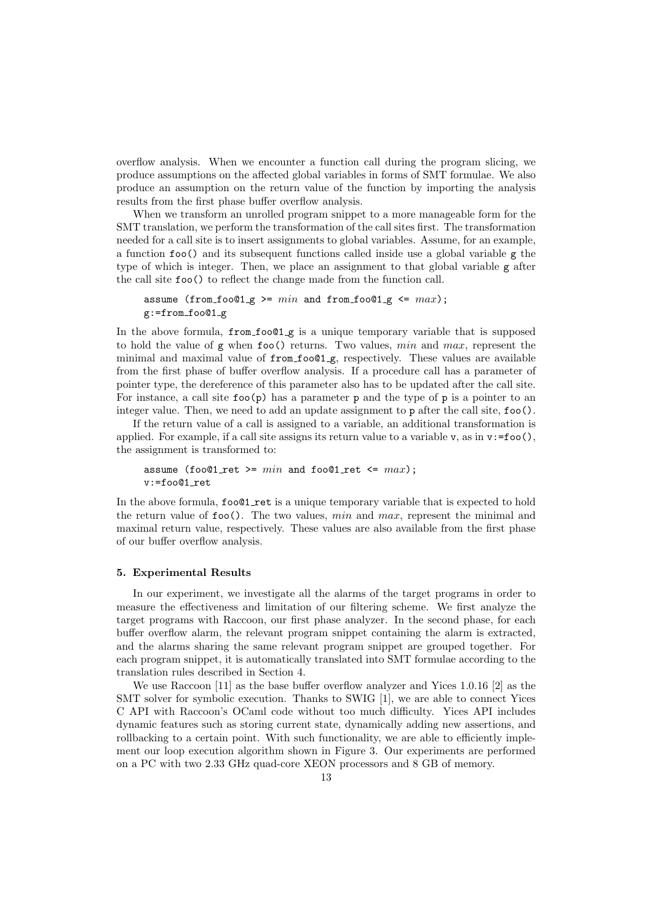overflow analysis. When we encounter a function call during the program slicing, we produce assumptions on the affected global variables in forms of SMT formulae. We also produce an assumption on the return value of the function by importing the analysis results from the first phase buffer overflow analysis.

When we transform an unrolled program snippet to a more manageable form for the SMT translation, we perform the transformation of the call sites first. The transformation needed for a call site is to insert assignments to global variables. Assume, for an example, a function  $f \circ \circ (x)$  and its subsequent functions called inside use a global variable g the type of which is integer. Then, we place an assignment to that global variable g after the call site foo() to reflect the change made from the function call.

```
assume (from foo01_g >= min and from foo01_g <= max);
g:=from_foo@1_g
```
In the above formula,  $from \text{\texttt{foo@1\_g}}$  is a unique temporary variable that is supposed to hold the value of  $g$  when foo() returns. Two values, min and max, represent the minimal and maximal value of from foo@1 g, respectively. These values are available from the first phase of buffer overflow analysis. If a procedure call has a parameter of pointer type, the dereference of this parameter also has to be updated after the call site. For instance, a call site  $f \circ \circ (p)$  has a parameter p and the type of p is a pointer to an integer value. Then, we need to add an update assignment to p after the call site, foo().

If the return value of a call is assigned to a variable, an additional transformation is applied. For example, if a call site assigns its return value to a variable v, as in  $v:=f\circ\circ($ , the assignment is transformed to:

```
assume (foo@1_ret >= min and foo@1_ret <= max);
v:=foo@1_ret
```
In the above formula,  $f \circ \circ \mathcal{Q} 1$  ret is a unique temporary variable that is expected to hold the return value of  $foo()$ . The two values, min and max, represent the minimal and maximal return value, respectively. These values are also available from the first phase of our buffer overflow analysis.

#### 5. Experimental Results

In our experiment, we investigate all the alarms of the target programs in order to measure the effectiveness and limitation of our filtering scheme. We first analyze the target programs with Raccoon, our first phase analyzer. In the second phase, for each buffer overflow alarm, the relevant program snippet containing the alarm is extracted, and the alarms sharing the same relevant program snippet are grouped together. For each program snippet, it is automatically translated into SMT formulae according to the translation rules described in Section 4.

We use Raccoon [11] as the base buffer overflow analyzer and Yices 1.0.16 [2] as the SMT solver for symbolic execution. Thanks to SWIG [1], we are able to connect Yices C API with Raccoon's OCaml code without too much difficulty. Yices API includes dynamic features such as storing current state, dynamically adding new assertions, and rollbacking to a certain point. With such functionality, we are able to efficiently implement our loop execution algorithm shown in Figure 3. Our experiments are performed on a PC with two 2.33 GHz quad-core XEON processors and 8 GB of memory.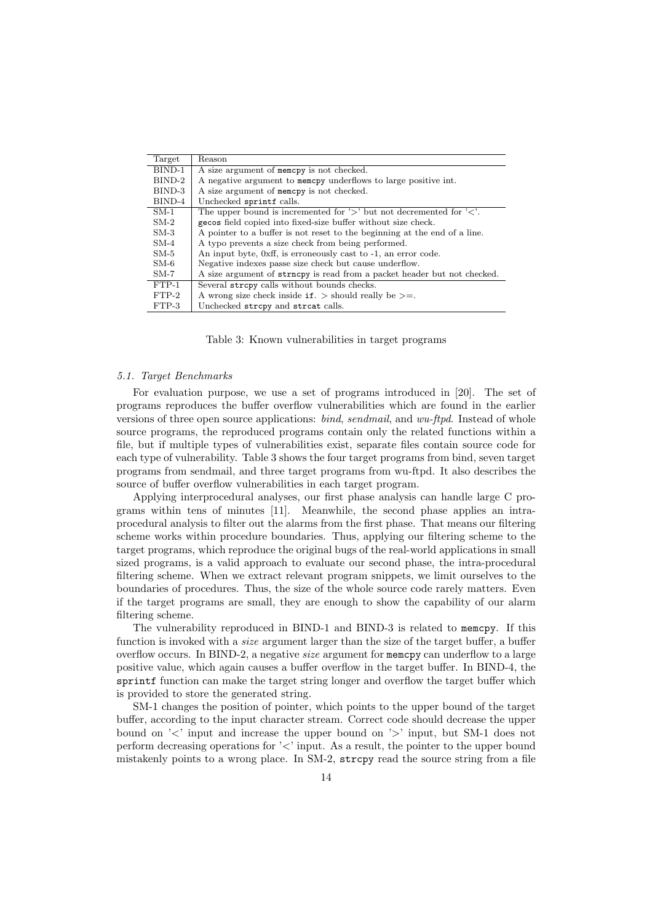| Target  | Reason                                                                     |
|---------|----------------------------------------------------------------------------|
| BIND-1  | A size argument of memory is not checked.                                  |
| BIND-2  | A negative argument to memory underflows to large positive int.            |
| BIND-3  | A size argument of memory is not checked.                                  |
| BIND-4  | Unchecked sprintf calls.                                                   |
| $SM-1$  | The upper bound is incremented for $\geq$ but not decremented for $\leq$ . |
| $SM-2$  | gecos field copied into fixed-size buffer without size check.              |
| $SM-3$  | A pointer to a buffer is not reset to the beginning at the end of a line.  |
| $SM-4$  | A typo prevents a size check from being performed.                         |
| $SM-5$  | An input byte, 0xff, is erroneously cast to -1, an error code.             |
| $SM-6$  | Negative indexes passe size check but cause underflow.                     |
| $SM-7$  | A size argument of strncpy is read from a packet header but not checked.   |
| $FTP-1$ | Several stropy calls without bounds checks.                                |
| $FTP-2$ | A wrong size check inside if. $>$ should really be $>=$ .                  |
| $FTP-3$ | Unchecked stropy and streat calls.                                         |

Table 3: Known vulnerabilities in target programs

# 5.1. Target Benchmarks

For evaluation purpose, we use a set of programs introduced in [20]. The set of programs reproduces the buffer overflow vulnerabilities which are found in the earlier versions of three open source applications: *bind, sendmail, and wu-ftpd.* Instead of whole source programs, the reproduced programs contain only the related functions within a file, but if multiple types of vulnerabilities exist, separate files contain source code for each type of vulnerability. Table 3 shows the four target programs from bind, seven target programs from sendmail, and three target programs from wu-ftpd. It also describes the source of buffer overflow vulnerabilities in each target program.

Applying interprocedural analyses, our first phase analysis can handle large C programs within tens of minutes [11]. Meanwhile, the second phase applies an intraprocedural analysis to filter out the alarms from the first phase. That means our filtering scheme works within procedure boundaries. Thus, applying our filtering scheme to the target programs, which reproduce the original bugs of the real-world applications in small sized programs, is a valid approach to evaluate our second phase, the intra-procedural filtering scheme. When we extract relevant program snippets, we limit ourselves to the boundaries of procedures. Thus, the size of the whole source code rarely matters. Even if the target programs are small, they are enough to show the capability of our alarm filtering scheme.

The vulnerability reproduced in BIND-1 and BIND-3 is related to memcpy. If this function is invoked with a *size* argument larger than the size of the target buffer, a buffer overflow occurs. In BIND-2, a negative size argument for memcpy can underflow to a large positive value, which again causes a buffer overflow in the target buffer. In BIND-4, the sprintf function can make the target string longer and overflow the target buffer which is provided to store the generated string.

SM-1 changes the position of pointer, which points to the upper bound of the target buffer, according to the input character stream. Correct code should decrease the upper bound on  $\leq$  input and increase the upper bound on  $\geq$  input, but SM-1 does not perform decreasing operations for '<' input. As a result, the pointer to the upper bound mistakenly points to a wrong place. In SM-2, strcpy read the source string from a file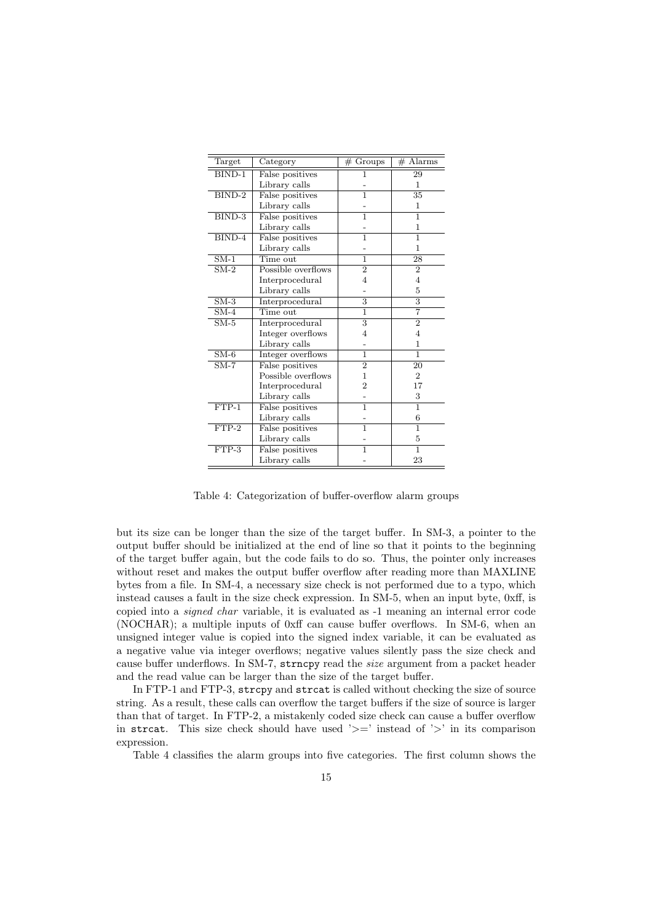| Target                   | Category           | $#$ Groups     | $#$ Alarms     |
|--------------------------|--------------------|----------------|----------------|
| $\overline{BIND-1}$      | False positives    | 1              | 29             |
|                          | Library calls      |                | 1              |
| BIND-2                   | False positives    | 1              | 35             |
|                          | Library calls      |                | 1              |
| $\overline{BIND-3}$      | False positives    | $\mathbf{1}$   | $\mathbf{1}$   |
|                          | Library calls      |                | 1              |
| BIND-4                   | False positives    | 1              | $\mathbf{1}$   |
|                          | Library calls      |                | $\mathbf{1}$   |
| $SM-1$                   | Time out           | 1              | 28             |
| $SM-2$                   | Possible overflows | $\overline{2}$ | $\overline{2}$ |
|                          | Interprocedural    | 4              | 4              |
|                          | Library calls      |                | 5              |
| $\overline{\text{SM-3}}$ | Interprocedural    | 3              | $\overline{3}$ |
| $\overline{\text{SM-4}}$ | Time out           | 1              | $\overline{7}$ |
| $SM-5$                   | Interprocedural    | $\overline{3}$ | $\overline{2}$ |
|                          | Integer overflows  | 4              | $\overline{4}$ |
|                          | Library calls      |                | 1              |
| $SM-6$                   | Integer overflows  | $\mathbf{1}$   | $\overline{1}$ |
| $\overline{\text{SM-7}}$ | False positives    |                | 20             |
| Possible overflows       |                    | 1              | $\overline{2}$ |
| Interprocedural          |                    | $\overline{2}$ | 17             |
|                          | Library calls      |                | 3              |
| $FTP-1$                  | False positives    |                | $\mathbf{1}$   |
|                          | Library calls      |                | 6              |
| $FTP-2$                  | False positives    | $\mathbf{1}$   | $\mathbf{1}$   |
|                          | Library calls      |                | 5              |
| $FTP-3$                  | False positives    | 1              | $\overline{1}$ |
|                          | Library calls      |                | 23             |

Table 4: Categorization of buffer-overflow alarm groups

but its size can be longer than the size of the target buffer. In SM-3, a pointer to the output buffer should be initialized at the end of line so that it points to the beginning of the target buffer again, but the code fails to do so. Thus, the pointer only increases without reset and makes the output buffer overflow after reading more than MAXLINE bytes from a file. In SM-4, a necessary size check is not performed due to a typo, which instead causes a fault in the size check expression. In SM-5, when an input byte, 0xff, is copied into a signed char variable, it is evaluated as -1 meaning an internal error code (NOCHAR); a multiple inputs of 0xff can cause buffer overflows. In SM-6, when an unsigned integer value is copied into the signed index variable, it can be evaluated as a negative value via integer overflows; negative values silently pass the size check and cause buffer underflows. In SM-7, strncpy read the size argument from a packet header and the read value can be larger than the size of the target buffer.

In FTP-1 and FTP-3, strcpy and strcat is called without checking the size of source string. As a result, these calls can overflow the target buffers if the size of source is larger than that of target. In FTP-2, a mistakenly coded size check can cause a buffer overflow in strcat. This size check should have used  $\geq$  =' instead of  $\geq$  in its comparison expression.

Table 4 classifies the alarm groups into five categories. The first column shows the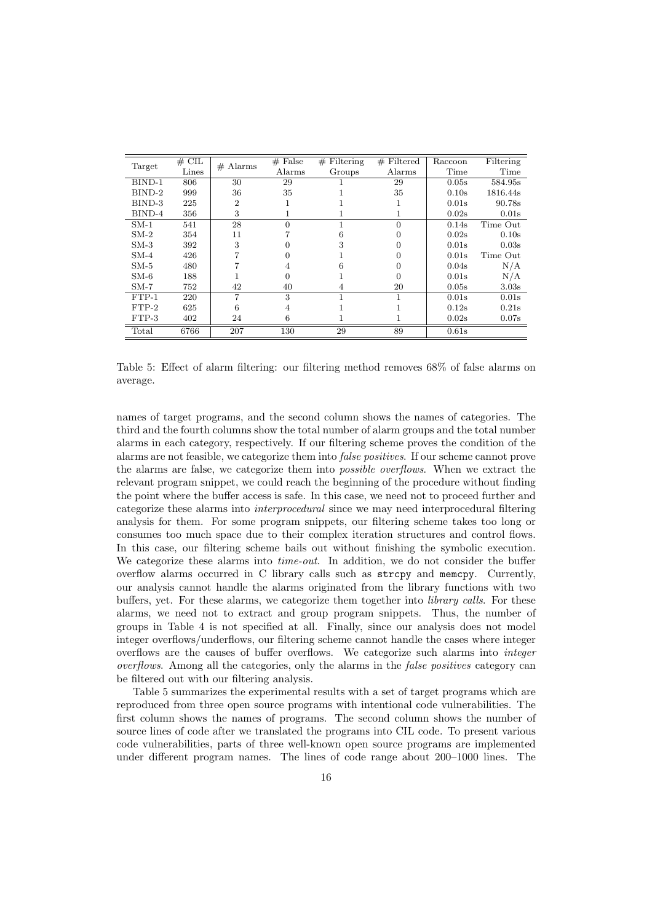| Target  | $#$ CIL | $#$ Alarms | # False  | Filtering<br># | $#$ Filtered | Raccoon | Filtering |
|---------|---------|------------|----------|----------------|--------------|---------|-----------|
|         | Lines   |            | Alarms   | Groups         | Alarms       | Time    | Time      |
| BIND-1  | 806     | 30         | 29       |                | 29           | 0.05s   | 584.95s   |
| BIND-2  | 999     | 36         | 35       |                | 35           | 0.10s   | 1816.44s  |
| BIND-3  | 225     | 2          | T        |                |              | 0.01s   | 90.78s    |
| BIND-4  | 356     | 3          | 1        |                |              | 0.02s   | 0.01s     |
| $SM-1$  | 541     | 28         | $\Omega$ |                | $\Omega$     | 0.14s   | Time Out  |
| $SM-2$  | 354     | 11         |          | 6              |              | 0.02s   | 0.10s     |
| $SM-3$  | 392     | 3          |          | 3              |              | 0.01s   | 0.03s     |
| $SM-4$  | 426     |            | 0        |                |              | 0.01s   | Time Out  |
| $SM-5$  | 480     |            | 4        | 6              |              | 0.04s   | N/A       |
| $SM-6$  | 188     |            | 0        |                |              | 0.01s   | N/A       |
| $SM-7$  | 752     | 42         | 40       | 4              | 20           | 0.05s   | 3.03s     |
| $FTP-1$ | 220     |            | 3        |                |              | 0.01s   | 0.01s     |
| $FTP-2$ | 625     | 6          | 4        |                |              | 0.12s   | 0.21s     |
| $FTP-3$ | 402     | 24         | 6        |                |              | 0.02s   | 0.07s     |
| Total   | 6766    | 207        | 130      | 29             | 89           | 0.61s   |           |

Table 5: Effect of alarm filtering: our filtering method removes 68% of false alarms on average.

names of target programs, and the second column shows the names of categories. The third and the fourth columns show the total number of alarm groups and the total number alarms in each category, respectively. If our filtering scheme proves the condition of the alarms are not feasible, we categorize them into false positives. If our scheme cannot prove the alarms are false, we categorize them into possible overflows. When we extract the relevant program snippet, we could reach the beginning of the procedure without finding the point where the buffer access is safe. In this case, we need not to proceed further and categorize these alarms into interprocedural since we may need interprocedural filtering analysis for them. For some program snippets, our filtering scheme takes too long or consumes too much space due to their complex iteration structures and control flows. In this case, our filtering scheme bails out without finishing the symbolic execution. We categorize these alarms into *time-out*. In addition, we do not consider the buffer overflow alarms occurred in C library calls such as strcpy and memcpy. Currently, our analysis cannot handle the alarms originated from the library functions with two buffers, yet. For these alarms, we categorize them together into *library calls*. For these alarms, we need not to extract and group program snippets. Thus, the number of groups in Table 4 is not specified at all. Finally, since our analysis does not model integer overflows/underflows, our filtering scheme cannot handle the cases where integer overflows are the causes of buffer overflows. We categorize such alarms into integer overflows. Among all the categories, only the alarms in the false positives category can be filtered out with our filtering analysis.

Table 5 summarizes the experimental results with a set of target programs which are reproduced from three open source programs with intentional code vulnerabilities. The first column shows the names of programs. The second column shows the number of source lines of code after we translated the programs into CIL code. To present various code vulnerabilities, parts of three well-known open source programs are implemented under different program names. The lines of code range about 200–1000 lines. The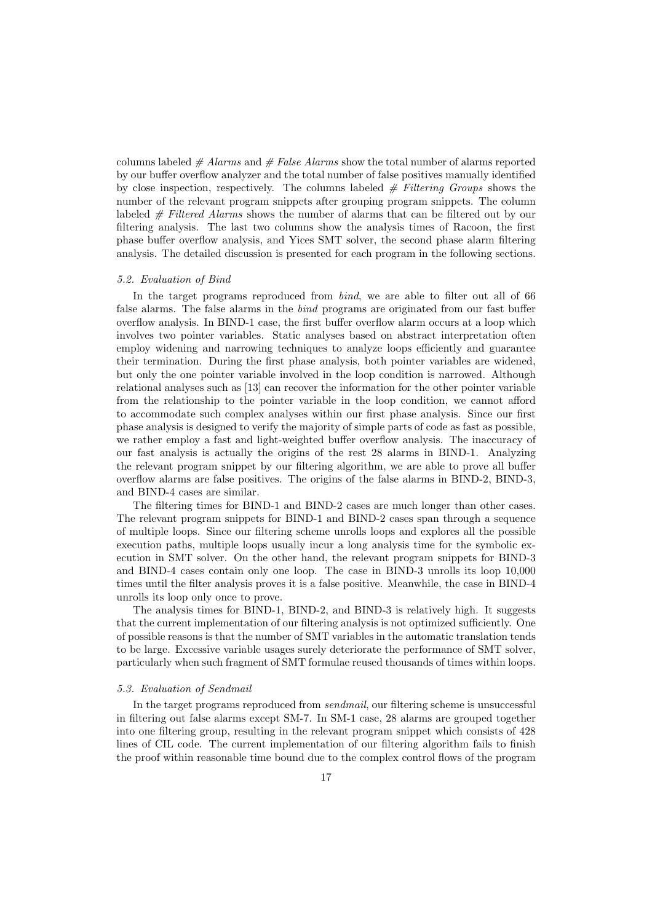columns labeled  $\#$  Alarms and  $\#$  False Alarms show the total number of alarms reported by our buffer overflow analyzer and the total number of false positives manually identified by close inspection, respectively. The columns labeled  $# Filtering \,\, Groups$  shows the number of the relevant program snippets after grouping program snippets. The column labeled  $\#$  Filtered Alarms shows the number of alarms that can be filtered out by our filtering analysis. The last two columns show the analysis times of Racoon, the first phase buffer overflow analysis, and Yices SMT solver, the second phase alarm filtering analysis. The detailed discussion is presented for each program in the following sections.

# 5.2. Evaluation of Bind

In the target programs reproduced from bind, we are able to filter out all of 66 false alarms. The false alarms in the bind programs are originated from our fast buffer overflow analysis. In BIND-1 case, the first buffer overflow alarm occurs at a loop which involves two pointer variables. Static analyses based on abstract interpretation often employ widening and narrowing techniques to analyze loops efficiently and guarantee their termination. During the first phase analysis, both pointer variables are widened, but only the one pointer variable involved in the loop condition is narrowed. Although relational analyses such as [13] can recover the information for the other pointer variable from the relationship to the pointer variable in the loop condition, we cannot afford to accommodate such complex analyses within our first phase analysis. Since our first phase analysis is designed to verify the majority of simple parts of code as fast as possible, we rather employ a fast and light-weighted buffer overflow analysis. The inaccuracy of our fast analysis is actually the origins of the rest 28 alarms in BIND-1. Analyzing the relevant program snippet by our filtering algorithm, we are able to prove all buffer overflow alarms are false positives. The origins of the false alarms in BIND-2, BIND-3, and BIND-4 cases are similar.

The filtering times for BIND-1 and BIND-2 cases are much longer than other cases. The relevant program snippets for BIND-1 and BIND-2 cases span through a sequence of multiple loops. Since our filtering scheme unrolls loops and explores all the possible execution paths, multiple loops usually incur a long analysis time for the symbolic execution in SMT solver. On the other hand, the relevant program snippets for BIND-3 and BIND-4 cases contain only one loop. The case in BIND-3 unrolls its loop 10,000 times until the filter analysis proves it is a false positive. Meanwhile, the case in BIND-4 unrolls its loop only once to prove.

The analysis times for BIND-1, BIND-2, and BIND-3 is relatively high. It suggests that the current implementation of our filtering analysis is not optimized sufficiently. One of possible reasons is that the number of SMT variables in the automatic translation tends to be large. Excessive variable usages surely deteriorate the performance of SMT solver, particularly when such fragment of SMT formulae reused thousands of times within loops.

#### 5.3. Evaluation of Sendmail

In the target programs reproduced from sendmail, our filtering scheme is unsuccessful in filtering out false alarms except SM-7. In SM-1 case, 28 alarms are grouped together into one filtering group, resulting in the relevant program snippet which consists of 428 lines of CIL code. The current implementation of our filtering algorithm fails to finish the proof within reasonable time bound due to the complex control flows of the program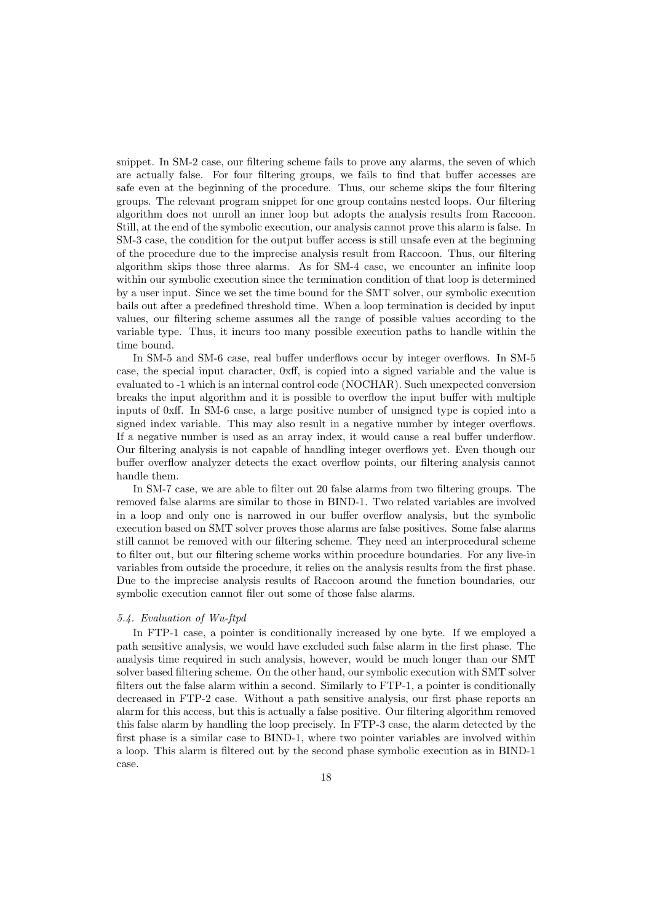snippet. In SM-2 case, our filtering scheme fails to prove any alarms, the seven of which are actually false. For four filtering groups, we fails to find that buffer accesses are safe even at the beginning of the procedure. Thus, our scheme skips the four filtering groups. The relevant program snippet for one group contains nested loops. Our filtering algorithm does not unroll an inner loop but adopts the analysis results from Raccoon. Still, at the end of the symbolic execution, our analysis cannot prove this alarm is false. In SM-3 case, the condition for the output buffer access is still unsafe even at the beginning of the procedure due to the imprecise analysis result from Raccoon. Thus, our filtering algorithm skips those three alarms. As for SM-4 case, we encounter an infinite loop within our symbolic execution since the termination condition of that loop is determined by a user input. Since we set the time bound for the SMT solver, our symbolic execution bails out after a predefined threshold time. When a loop termination is decided by input values, our filtering scheme assumes all the range of possible values according to the variable type. Thus, it incurs too many possible execution paths to handle within the time bound.

In SM-5 and SM-6 case, real buffer underflows occur by integer overflows. In SM-5 case, the special input character, 0xff, is copied into a signed variable and the value is evaluated to -1 which is an internal control code (NOCHAR). Such unexpected conversion breaks the input algorithm and it is possible to overflow the input buffer with multiple inputs of 0xff. In SM-6 case, a large positive number of unsigned type is copied into a signed index variable. This may also result in a negative number by integer overflows. If a negative number is used as an array index, it would cause a real buffer underflow. Our filtering analysis is not capable of handling integer overflows yet. Even though our buffer overflow analyzer detects the exact overflow points, our filtering analysis cannot handle them.

In SM-7 case, we are able to filter out 20 false alarms from two filtering groups. The removed false alarms are similar to those in BIND-1. Two related variables are involved in a loop and only one is narrowed in our buffer overflow analysis, but the symbolic execution based on SMT solver proves those alarms are false positives. Some false alarms still cannot be removed with our filtering scheme. They need an interprocedural scheme to filter out, but our filtering scheme works within procedure boundaries. For any live-in variables from outside the procedure, it relies on the analysis results from the first phase. Due to the imprecise analysis results of Raccoon around the function boundaries, our symbolic execution cannot filer out some of those false alarms.

#### 5.4. Evaluation of Wu-ftpd

In FTP-1 case, a pointer is conditionally increased by one byte. If we employed a path sensitive analysis, we would have excluded such false alarm in the first phase. The analysis time required in such analysis, however, would be much longer than our SMT solver based filtering scheme. On the other hand, our symbolic execution with SMT solver filters out the false alarm within a second. Similarly to FTP-1, a pointer is conditionally decreased in FTP-2 case. Without a path sensitive analysis, our first phase reports an alarm for this access, but this is actually a false positive. Our filtering algorithm removed this false alarm by handling the loop precisely. In FTP-3 case, the alarm detected by the first phase is a similar case to BIND-1, where two pointer variables are involved within a loop. This alarm is filtered out by the second phase symbolic execution as in BIND-1 case.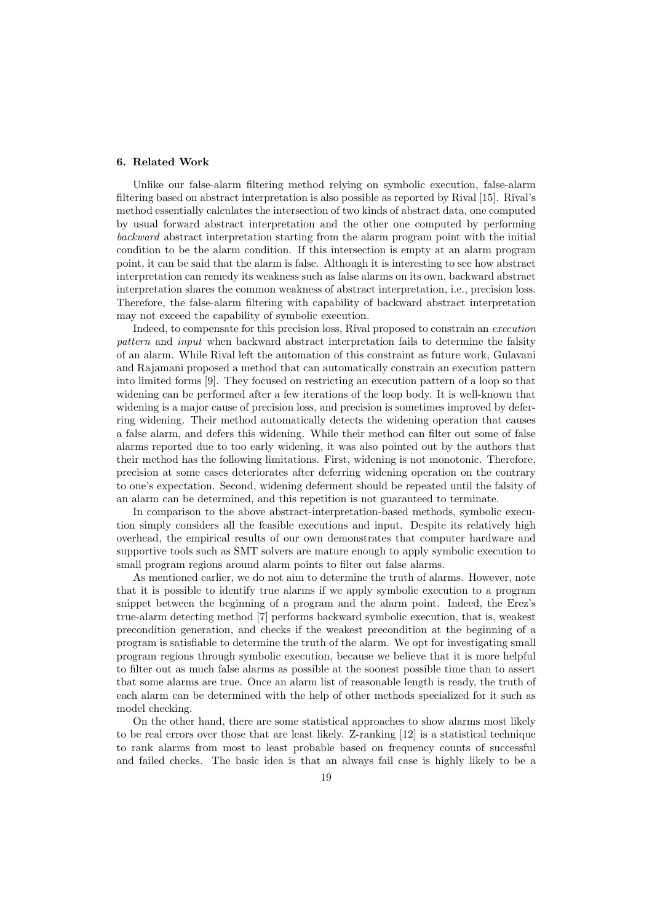## 6. Related Work

Unlike our false-alarm filtering method relying on symbolic execution, false-alarm filtering based on abstract interpretation is also possible as reported by Rival [15]. Rival's method essentially calculates the intersection of two kinds of abstract data, one computed by usual forward abstract interpretation and the other one computed by performing backward abstract interpretation starting from the alarm program point with the initial condition to be the alarm condition. If this intersection is empty at an alarm program point, it can be said that the alarm is false. Although it is interesting to see how abstract interpretation can remedy its weakness such as false alarms on its own, backward abstract interpretation shares the common weakness of abstract interpretation, i.e., precision loss. Therefore, the false-alarm filtering with capability of backward abstract interpretation may not exceed the capability of symbolic execution.

Indeed, to compensate for this precision loss, Rival proposed to constrain an execution pattern and input when backward abstract interpretation fails to determine the falsity of an alarm. While Rival left the automation of this constraint as future work, Gulavani and Rajamani proposed a method that can automatically constrain an execution pattern into limited forms [9]. They focused on restricting an execution pattern of a loop so that widening can be performed after a few iterations of the loop body. It is well-known that widening is a major cause of precision loss, and precision is sometimes improved by deferring widening. Their method automatically detects the widening operation that causes a false alarm, and defers this widening. While their method can filter out some of false alarms reported due to too early widening, it was also pointed out by the authors that their method has the following limitations. First, widening is not monotonic. Therefore, precision at some cases deteriorates after deferring widening operation on the contrary to one's expectation. Second, widening deferment should be repeated until the falsity of an alarm can be determined, and this repetition is not guaranteed to terminate.

In comparison to the above abstract-interpretation-based methods, symbolic execution simply considers all the feasible executions and input. Despite its relatively high overhead, the empirical results of our own demonstrates that computer hardware and supportive tools such as SMT solvers are mature enough to apply symbolic execution to small program regions around alarm points to filter out false alarms.

As mentioned earlier, we do not aim to determine the truth of alarms. However, note that it is possible to identify true alarms if we apply symbolic execution to a program snippet between the beginning of a program and the alarm point. Indeed, the Erez's true-alarm detecting method [7] performs backward symbolic execution, that is, weakest precondition generation, and checks if the weakest precondition at the beginning of a program is satisfiable to determine the truth of the alarm. We opt for investigating small program regions through symbolic execution, because we believe that it is more helpful to filter out as much false alarms as possible at the soonest possible time than to assert that some alarms are true. Once an alarm list of reasonable length is ready, the truth of each alarm can be determined with the help of other methods specialized for it such as model checking.

On the other hand, there are some statistical approaches to show alarms most likely to be real errors over those that are least likely. Z-ranking [12] is a statistical technique to rank alarms from most to least probable based on frequency counts of successful and failed checks. The basic idea is that an always fail case is highly likely to be a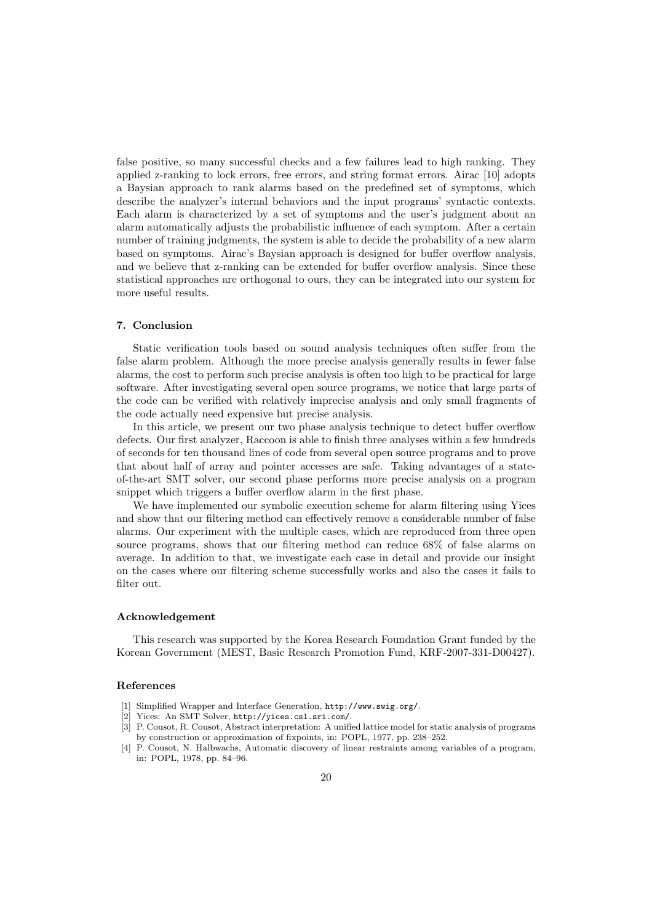false positive, so many successful checks and a few failures lead to high ranking. They applied z-ranking to lock errors, free errors, and string format errors. Airac [10] adopts a Baysian approach to rank alarms based on the predefined set of symptoms, which describe the analyzer's internal behaviors and the input programs' syntactic contexts. Each alarm is characterized by a set of symptoms and the user's judgment about an alarm automatically adjusts the probabilistic influence of each symptom. After a certain number of training judgments, the system is able to decide the probability of a new alarm based on symptoms. Airac's Baysian approach is designed for buffer overflow analysis, and we believe that z-ranking can be extended for buffer overflow analysis. Since these statistical approaches are orthogonal to ours, they can be integrated into our system for more useful results.

#### 7. Conclusion

Static verification tools based on sound analysis techniques often suffer from the false alarm problem. Although the more precise analysis generally results in fewer false alarms, the cost to perform such precise analysis is often too high to be practical for large software. After investigating several open source programs, we notice that large parts of the code can be verified with relatively imprecise analysis and only small fragments of the code actually need expensive but precise analysis.

In this article, we present our two phase analysis technique to detect buffer overflow defects. Our first analyzer, Raccoon is able to finish three analyses within a few hundreds of seconds for ten thousand lines of code from several open source programs and to prove that about half of array and pointer accesses are safe. Taking advantages of a stateof-the-art SMT solver, our second phase performs more precise analysis on a program snippet which triggers a buffer overflow alarm in the first phase.

We have implemented our symbolic execution scheme for alarm filtering using Yices and show that our filtering method can effectively remove a considerable number of false alarms. Our experiment with the multiple cases, which are reproduced from three open source programs, shows that our filtering method can reduce 68% of false alarms on average. In addition to that, we investigate each case in detail and provide our insight on the cases where our filtering scheme successfully works and also the cases it fails to filter out.

#### Acknowledgement

This research was supported by the Korea Research Foundation Grant funded by the Korean Government (MEST, Basic Research Promotion Fund, KRF-2007-331-D00427).

### References

- Simplified Wrapper and Interface Generation, http://www.swig.org/.
- [2] Yices: An SMT Solver, http://yices.csl.sri.com/.
- [3] P. Cousot, R. Cousot, Abstract interpretation: A unified lattice model for static analysis of programs by construction or approximation of fixpoints, in: POPL, 1977, pp. 238–252.
- [4] P. Cousot, N. Halbwachs, Automatic discovery of linear restraints among variables of a program, in: POPL, 1978, pp. 84–96.